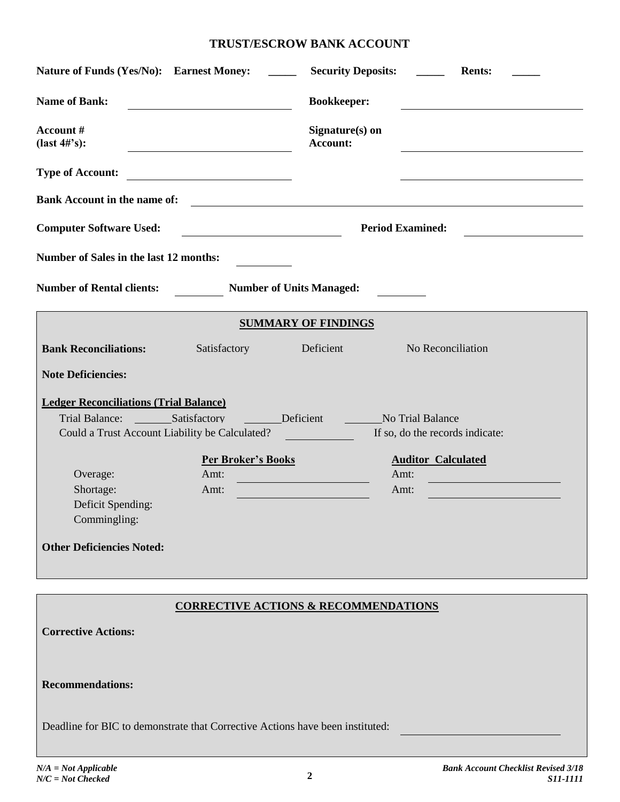# **TRUST/ESCROW BANK ACCOUNT**

| Nature of Funds (Yes/No): Earnest Money:                                                                                                            | <b>Security Deposits:</b><br><b>Rents:</b>      |
|-----------------------------------------------------------------------------------------------------------------------------------------------------|-------------------------------------------------|
| <b>Name of Bank:</b>                                                                                                                                | <b>Bookkeeper:</b>                              |
| Account#<br>$(last 4\#'s):$<br><u> 1980 - Johann Barn, mars ar breithinn ar chomhair an t-Alban ann an t-Alban ann an t-Alban ann an t-Alban an</u> | Signature(s) on<br>Account:                     |
| <b>Type of Account:</b><br><u> 1980 - Johann Barbara, martin a</u>                                                                                  |                                                 |
| <b>Bank Account in the name of:</b>                                                                                                                 | <u> 1980 - Andrea Andrew Maria (h. 1980).</u>   |
| <b>Computer Software Used:</b>                                                                                                                      | <b>Period Examined:</b>                         |
| Number of Sales in the last 12 months:                                                                                                              |                                                 |
| <b>Number of Rental clients:</b><br><b>Number of Units Managed:</b>                                                                                 |                                                 |
|                                                                                                                                                     | <b>SUMMARY OF FINDINGS</b>                      |
| <b>Bank Reconciliations:</b> Satisfactory Deficient No Reconciliation                                                                               |                                                 |
| <b>Note Deficiencies:</b>                                                                                                                           |                                                 |
| <b>Ledger Reconciliations (Trial Balance)</b><br>Could a Trust Account Liability be Calculated?                                                     | If so, do the records indicate:                 |
| <b>Per Broker's Books</b>                                                                                                                           | <b>Auditor Calculated</b>                       |
| Overage:<br>Amt:                                                                                                                                    | Amt:                                            |
| Shortage:<br>Amt:<br>Deficit Spending:                                                                                                              | Amt:                                            |
| Commingling:                                                                                                                                        |                                                 |
| <b>Other Deficiencies Noted:</b>                                                                                                                    |                                                 |
|                                                                                                                                                     |                                                 |
|                                                                                                                                                     | <b>CORRECTIVE ACTIONS &amp; RECOMMENDATIONS</b> |
| <b>Corrective Actions:</b>                                                                                                                          |                                                 |
| <b>Recommendations:</b>                                                                                                                             |                                                 |
| Deadline for BIC to demonstrate that Corrective Actions have been instituted:                                                                       |                                                 |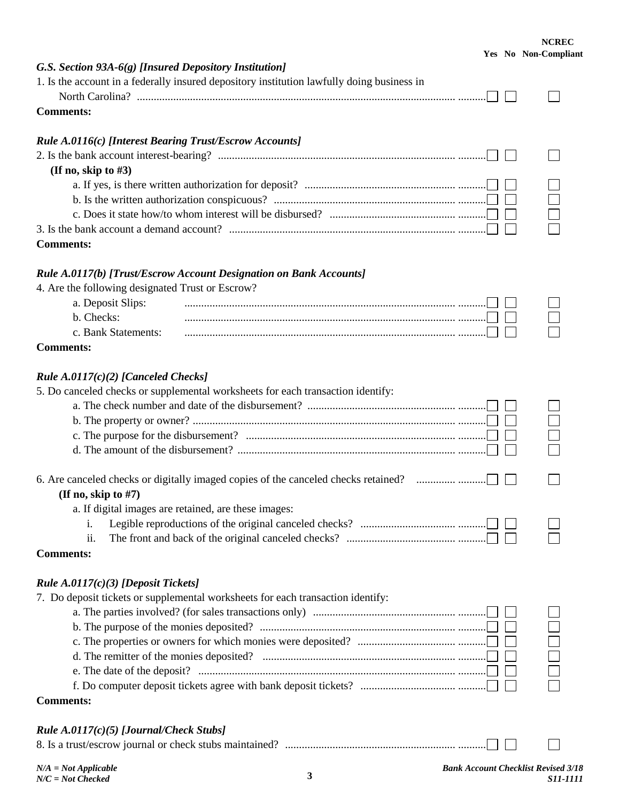### **NCREC Yes No Non-Compliant**

| G.S. Section 93A-6(g) [Insured Depository Institution]                                     |  |
|--------------------------------------------------------------------------------------------|--|
| 1. Is the account in a federally insured depository institution lawfully doing business in |  |
|                                                                                            |  |
| <b>Comments:</b>                                                                           |  |
| Rule A.0116(c) [Interest Bearing Trust/Escrow Accounts]                                    |  |
|                                                                                            |  |
| (If no, skip to #3)                                                                        |  |
|                                                                                            |  |
|                                                                                            |  |
|                                                                                            |  |
|                                                                                            |  |
| <b>Comments:</b>                                                                           |  |
| Rule A.0117(b) [Trust/Escrow Account Designation on Bank Accounts]                         |  |
| 4. Are the following designated Trust or Escrow?                                           |  |
| a. Deposit Slips:                                                                          |  |
| b. Checks:                                                                                 |  |
| c. Bank Statements:                                                                        |  |
| <b>Comments:</b>                                                                           |  |
| Rule A.0117(c)(2) [Canceled Checks]                                                        |  |
| 5. Do canceled checks or supplemental worksheets for each transaction identify:            |  |
|                                                                                            |  |
|                                                                                            |  |
|                                                                                            |  |
|                                                                                            |  |
|                                                                                            |  |
| (If no, skip to $#7$ )                                                                     |  |
| a. If digital images are retained, are these images:                                       |  |
| i.                                                                                         |  |
| ii.                                                                                        |  |
| <b>Comments:</b>                                                                           |  |
| <i>Rule A.0117(c)(3) [Deposit Tickets]</i>                                                 |  |
| 7. Do deposit tickets or supplemental worksheets for each transaction identify:            |  |
|                                                                                            |  |
|                                                                                            |  |
|                                                                                            |  |
|                                                                                            |  |
|                                                                                            |  |
|                                                                                            |  |
| <b>Comments:</b>                                                                           |  |
| Rule $A.0117(c)(5)$ [Journal/Check Stubs]                                                  |  |
|                                                                                            |  |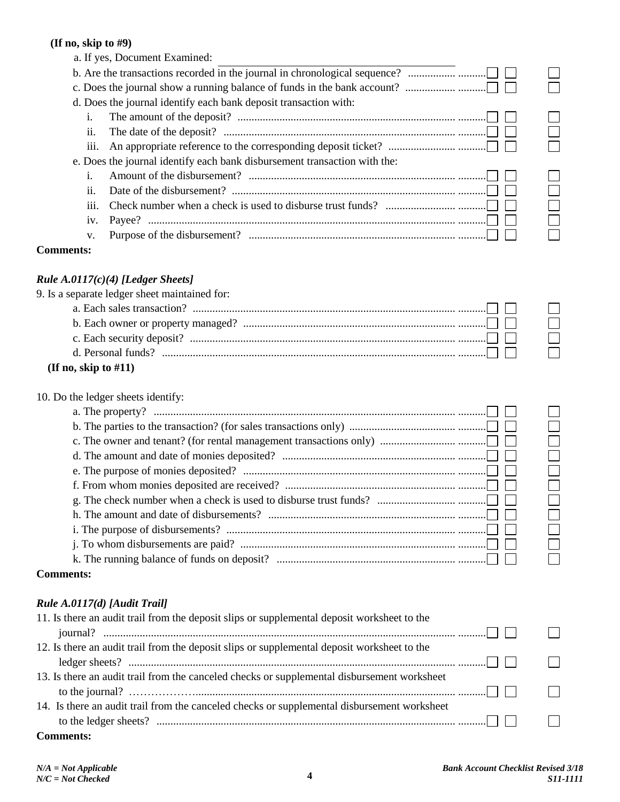## **(If no, skip to #9)**

| (If no, skip to $#9$ )       |                                                                                                                                                                  |        |
|------------------------------|------------------------------------------------------------------------------------------------------------------------------------------------------------------|--------|
|                              | a. If yes, Document Examined:                                                                                                                                    |        |
|                              | b. Are the transactions recorded in the journal in chronological sequence?                                                                                       |        |
|                              |                                                                                                                                                                  |        |
|                              | d. Does the journal identify each bank deposit transaction with:                                                                                                 |        |
| i.                           |                                                                                                                                                                  |        |
| ii.                          | The date of the deposit? $\ldots$ $\ldots$ $\ldots$ $\ldots$ $\ldots$ $\ldots$ $\ldots$ $\ldots$ $\ldots$ $\ldots$ $\ldots$ $\ldots$ $\ldots$ $\ldots$           |        |
| iii.                         |                                                                                                                                                                  |        |
|                              | e. Does the journal identify each bank disbursement transaction with the:                                                                                        |        |
| i.                           |                                                                                                                                                                  |        |
| ii.                          | Date of the disbursement? $\ldots$ $\ldots$ $\ldots$ $\ldots$ $\ldots$ $\ldots$ $\ldots$ $\ldots$ $\ldots$ $\ldots$ $\ldots$ $\ldots$ $\ldots$ $\ldots$ $\ldots$ |        |
| iii.                         | Check number when a check is used to disburse trust funds? $\ldots$ $\ldots$ $\ldots$ $\ldots$ $\ldots$ $\ldots$                                                 | $\Box$ |
| iv.                          |                                                                                                                                                                  |        |
| V.                           |                                                                                                                                                                  |        |
| <b>Comments:</b>             |                                                                                                                                                                  |        |
|                              | Rule $A.0117(c)(4)$ [Ledger Sheets]                                                                                                                              |        |
|                              | 9. Is a separate ledger sheet maintained for:                                                                                                                    |        |
|                              |                                                                                                                                                                  |        |
|                              |                                                                                                                                                                  |        |
|                              |                                                                                                                                                                  |        |
|                              |                                                                                                                                                                  |        |
| (If no, skip to $#11$ )      |                                                                                                                                                                  |        |
|                              | 10. Do the ledger sheets identify:                                                                                                                               |        |
|                              |                                                                                                                                                                  |        |
|                              |                                                                                                                                                                  |        |
|                              |                                                                                                                                                                  |        |
|                              |                                                                                                                                                                  |        |
|                              |                                                                                                                                                                  |        |
|                              |                                                                                                                                                                  |        |
|                              |                                                                                                                                                                  |        |
|                              |                                                                                                                                                                  |        |
|                              |                                                                                                                                                                  |        |
|                              |                                                                                                                                                                  |        |
|                              |                                                                                                                                                                  |        |
| <b>Comments:</b>             |                                                                                                                                                                  |        |
|                              |                                                                                                                                                                  |        |
| Rule A.0117(d) [Audit Trail] |                                                                                                                                                                  |        |
|                              | 11. Is there an audit trail from the deposit slips or supplemental deposit worksheet to the                                                                      |        |
|                              |                                                                                                                                                                  |        |

| $\Box$                                                                                                                                                                                                                |  |
|-----------------------------------------------------------------------------------------------------------------------------------------------------------------------------------------------------------------------|--|
| 12. Is there an audit trail from the deposit slips or supplemental deposit worksheet to the                                                                                                                           |  |
|                                                                                                                                                                                                                       |  |
| 13. Is there an audit trail from the canceled checks or supplemental disbursement worksheet                                                                                                                           |  |
| to the journal? $\ldots$ $\ldots$ $\ldots$ $\ldots$ $\ldots$ $\ldots$ $\ldots$ $\ldots$ $\ldots$ $\ldots$ $\ldots$ $\ldots$ $\ldots$ $\ldots$ $\ldots$ $\ldots$ $\ldots$ $\ldots$ $\ldots$ $\ldots$ $\ldots$ $\ldots$ |  |
| 14. Is there an audit trail from the canceled checks or supplemental disbursement worksheet                                                                                                                           |  |
|                                                                                                                                                                                                                       |  |
|                                                                                                                                                                                                                       |  |

**Comments:**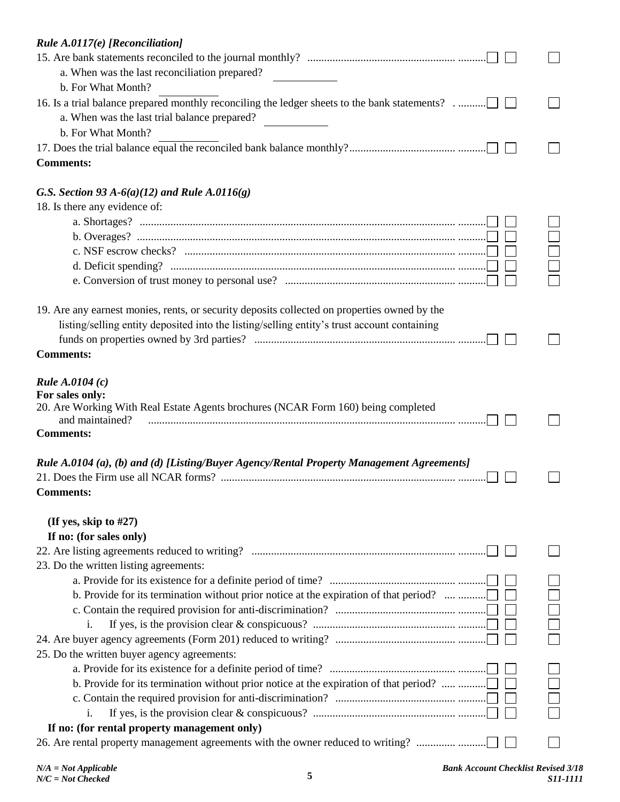| Rule $A.0117(e)$ [Reconciliation]                                                                    |  |
|------------------------------------------------------------------------------------------------------|--|
|                                                                                                      |  |
| a. When was the last reconciliation prepared?                                                        |  |
| b. For What Month?                                                                                   |  |
| 16. Is a trial balance prepared monthly reconciling the ledger sheets to the bank statements?        |  |
| a. When was the last trial balance prepared?                                                         |  |
| b. For What Month?                                                                                   |  |
|                                                                                                      |  |
| <b>Comments:</b>                                                                                     |  |
| G.S. Section 93 A-6(a)(12) and Rule A.0116(g)                                                        |  |
| 18. Is there any evidence of:                                                                        |  |
|                                                                                                      |  |
|                                                                                                      |  |
|                                                                                                      |  |
|                                                                                                      |  |
|                                                                                                      |  |
| 19. Are any earnest monies, rents, or security deposits collected on properties owned by the         |  |
| listing/selling entity deposited into the listing/selling entity's trust account containing          |  |
|                                                                                                      |  |
| <b>Comments:</b>                                                                                     |  |
| <i>Rule A.0104 (c)</i>                                                                               |  |
| For sales only:                                                                                      |  |
| 20. Are Working With Real Estate Agents brochures (NCAR Form 160) being completed<br>and maintained? |  |
| <b>Comments:</b>                                                                                     |  |
| Rule A.0104 (a), (b) and (d) [Listing/Buyer Agency/Rental Property Management Agreements]            |  |
|                                                                                                      |  |
| <b>Comments:</b>                                                                                     |  |
| (If yes, skip to $#27$ )                                                                             |  |
| If no: (for sales only)                                                                              |  |
|                                                                                                      |  |
| 23. Do the written listing agreements:                                                               |  |
|                                                                                                      |  |
| b. Provide for its termination without prior notice at the expiration of that period?                |  |
|                                                                                                      |  |
| i.                                                                                                   |  |
|                                                                                                      |  |
| 25. Do the written buyer agency agreements:                                                          |  |
|                                                                                                      |  |
| b. Provide for its termination without prior notice at the expiration of that period?                |  |
|                                                                                                      |  |
| i.                                                                                                   |  |
| If no: (for rental property management only)                                                         |  |
| 26. Are rental property management agreements with the owner reduced to writing?                     |  |